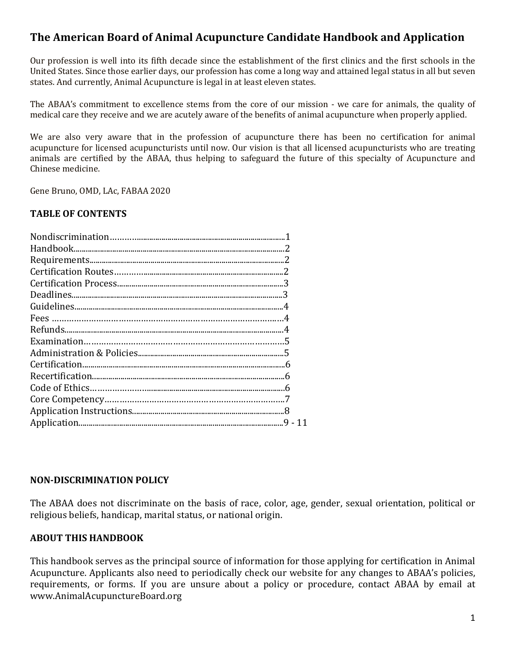# **The American Board of Animal Acupuncture Candidate Handbook and Application**

Our profession is well into its fifth decade since the establishment of the first clinics and the first schools in the United States. Since those earlier days, our profession has come a long way and attained legal status in all but seven states. And currently, Animal Acupuncture is legal in at least eleven states.

The ABAA's commitment to excellence stems from the core of our mission - we care for animals, the quality of medical care they receive and we are acutely aware of the benefits of animal acupuncture when properly applied.

We are also very aware that in the profession of acupuncture there has been no certification for animal acupuncture for licensed acupuncturists until now. Our vision is that all licensed acupuncturists who are treating animals are certified by the ABAA, thus helping to safeguard the future of this specialty of Acupuncture and Chinese medicine. 

Gene Bruno, OMD, LAc, FABAA 2020

#### **TABLE OF CONTENTS**

#### **NON-DISCRIMINATION POLICY**

The ABAA does not discriminate on the basis of race, color, age, gender, sexual orientation, political or religious beliefs, handicap, marital status, or national origin.

#### **ABOUT THIS HANDBOOK**

This handbook serves as the principal source of information for those applying for certification in Animal Acupuncture. Applicants also need to periodically check our website for any changes to ABAA's policies, requirements, or forms. If you are unsure about a policy or procedure, contact ABAA by email at www.AnimalAcupunctureBoard.org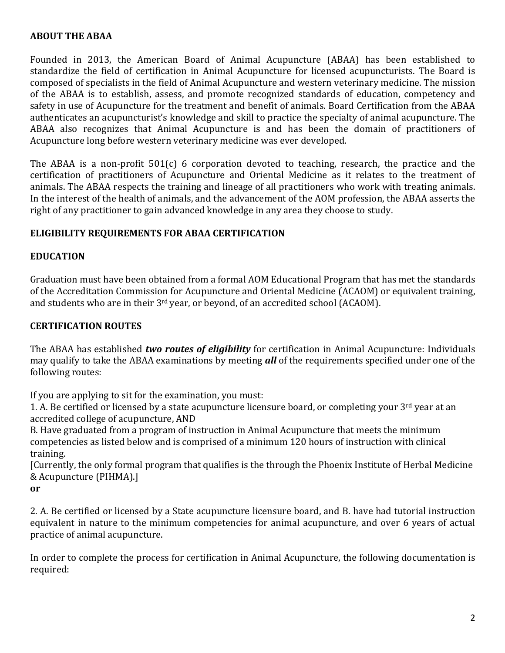## **ABOUT THE ABAA**

Founded in 2013, the American Board of Animal Acupuncture (ABAA) has been established to standardize the field of certification in Animal Acupuncture for licensed acupuncturists. The Board is composed of specialists in the field of Animal Acupuncture and western veterinary medicine. The mission of the ABAA is to establish, assess, and promote recognized standards of education, competency and safety in use of Acupuncture for the treatment and benefit of animals. Board Certification from the ABAA authenticates an acupuncturist's knowledge and skill to practice the specialty of animal acupuncture. The ABAA also recognizes that Animal Acupuncture is and has been the domain of practitioners of Acupuncture long before western veterinary medicine was ever developed.

The ABAA is a non-profit  $501(c)$  6 corporation devoted to teaching, research, the practice and the certification of practitioners of Acupuncture and Oriental Medicine as it relates to the treatment of animals. The ABAA respects the training and lineage of all practitioners who work with treating animals. In the interest of the health of animals, and the advancement of the AOM profession, the ABAA asserts the right of any practitioner to gain advanced knowledge in any area they choose to study.

### **ELIGIBILITY REQUIREMENTS FOR ABAA CERTIFICATION**

### **EDUCATION**

Graduation must have been obtained from a formal AOM Educational Program that has met the standards of the Accreditation Commission for Acupuncture and Oriental Medicine (ACAOM) or equivalent training, and students who are in their  $3^{rd}$  year, or beyond, of an accredited school (ACAOM).

### **CERTIFICATION ROUTES**

The ABAA has established *two routes of eligibility* for certification in Animal Acupuncture: Individuals may qualify to take the ABAA examinations by meeting *all* of the requirements specified under one of the following routes:

If you are applying to sit for the examination, you must:

1. A. Be certified or licensed by a state acupuncture licensure board, or completing your  $3<sup>rd</sup>$  year at an accredited college of acupuncture, AND

B. Have graduated from a program of instruction in Animal Acupuncture that meets the minimum competencies as listed below and is comprised of a minimum 120 hours of instruction with clinical training.

[Currently, the only formal program that qualifies is the through the Phoenix Institute of Herbal Medicine & Acupuncture (PIHMA).]

**or** 

2. A. Be certified or licensed by a State acupuncture licensure board, and B. have had tutorial instruction equivalent in nature to the minimum competencies for animal acupuncture, and over 6 years of actual practice of animal acupuncture.

In order to complete the process for certification in Animal Acupuncture, the following documentation is required: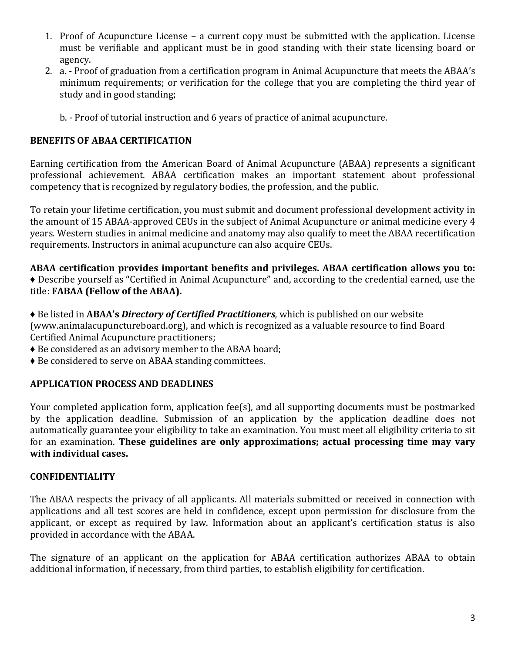- 1. Proof of Acupuncture License a current copy must be submitted with the application. License must be verifiable and applicant must be in good standing with their state licensing board or agency.
- 2. a. Proof of graduation from a certification program in Animal Acupuncture that meets the ABAA's minimum requirements; or verification for the college that you are completing the third vear of study and in good standing;
	- b. Proof of tutorial instruction and 6 years of practice of animal acupuncture.

## **BENEFITS OF ABAA CERTIFICATION**

Earning certification from the American Board of Animal Acupuncture (ABAA) represents a significant professional achievement. ABAA certification makes an important statement about professional competency that is recognized by regulatory bodies, the profession, and the public.

To retain your lifetime certification, you must submit and document professional development activity in the amount of 15 ABAA-approved CEUs in the subject of Animal Acupuncture or animal medicine every 4 years. Western studies in animal medicine and anatomy may also qualify to meet the ABAA recertification requirements. Instructors in animal acupuncture can also acquire CEUs.

ABAA certification provides important benefits and privileges. ABAA certification allows you to: • Describe yourself as "Certified in Animal Acupuncture" and, according to the credential earned, use the title: **FABAA** (Fellow of the ABAA).

 $\bullet$  Be listed in ABAA's *Directory of Certified Practitioners*, which is published on our website (www.animalacupunctureboard.org), and which is recognized as a valuable resource to find Board Certified Animal Acupuncture practitioners;

- $\bullet$  Be considered as an advisory member to the ABAA board;
- $\triangle$  Be considered to serve on ABAA standing committees.

# **APPLICATION PROCESS AND DEADLINES**

Your completed application form, application  $fee(s)$ , and all supporting documents must be postmarked by the application deadline. Submission of an application by the application deadline does not automatically guarantee your eligibility to take an examination. You must meet all eligibility criteria to sit for an examination. These guidelines are only approximations; actual processing time may vary with individual cases.

## **CONFIDENTIALITY**

The ABAA respects the privacy of all applicants. All materials submitted or received in connection with applications and all test scores are held in confidence, except upon permission for disclosure from the applicant, or except as required by law. Information about an applicant's certification status is also provided in accordance with the ABAA.

The signature of an applicant on the application for ABAA certification authorizes ABAA to obtain additional information, if necessary, from third parties, to establish eligibility for certification.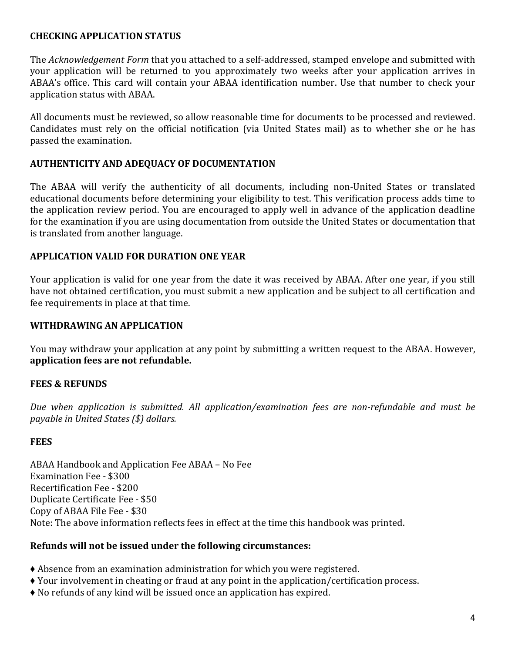## **CHECKING APPLICATION STATUS**

The *Acknowledgement Form* that you attached to a self-addressed, stamped envelope and submitted with your application will be returned to you approximately two weeks after your application arrives in ABAA's office. This card will contain your ABAA identification number. Use that number to check your application status with ABAA.

All documents must be reviewed, so allow reasonable time for documents to be processed and reviewed. Candidates must rely on the official notification (via United States mail) as to whether she or he has passed the examination.

#### **AUTHENTICITY AND ADEQUACY OF DOCUMENTATION**

The ABAA will verify the authenticity of all documents, including non-United States or translated educational documents before determining your eligibility to test. This verification process adds time to the application review period. You are encouraged to apply well in advance of the application deadline for the examination if you are using documentation from outside the United States or documentation that is translated from another language.

### **APPLICATION VALID FOR DURATION ONE YEAR**

Your application is valid for one year from the date it was received by ABAA. After one year, if you still have not obtained certification, you must submit a new application and be subject to all certification and fee requirements in place at that time.

### **WITHDRAWING AN APPLICATION**

You may withdraw your application at any point by submitting a written request to the ABAA. However, application fees are not refundable.

#### **FEES & REFUNDS**

*Due* when application is submitted. All application/examination fees are non-refundable and must be *payable in United States* (\$) dollars.

#### **FEES**

ABAA Handbook and Application Fee ABAA – No Fee Examination Fee - \$300 Recertification Fee - \$200 Duplicate Certificate Fee - \$50 Copy of ABAA File Fee - \$30 Note: The above information reflects fees in effect at the time this handbook was printed.

#### **Refunds will not be issued under the following circumstances:**

- $\triangle$  Absence from an examination administration for which you were registered.
- $\blacklozenge$  Your involvement in cheating or fraud at any point in the application/certification process.
- $\blacklozenge$  No refunds of any kind will be issued once an application has expired.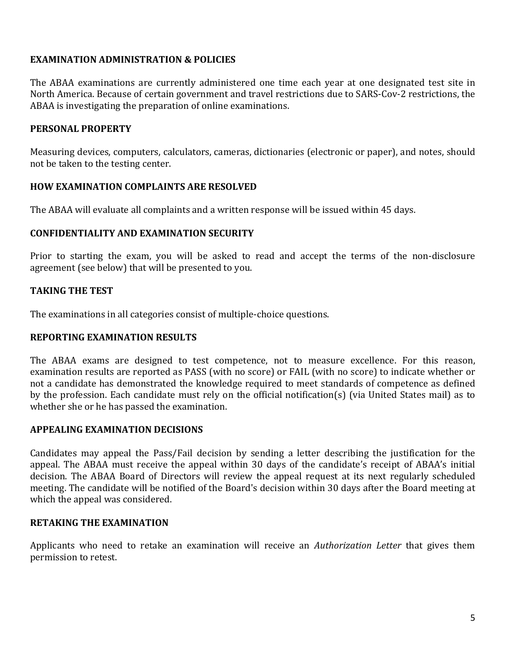### **EXAMINATION ADMINISTRATION & POLICIES**

The ABAA examinations are currently administered one time each year at one designated test site in North America. Because of certain government and travel restrictions due to SARS-Cov-2 restrictions, the ABAA is investigating the preparation of online examinations.

#### **PERSONAL PROPERTY**

Measuring devices, computers, calculators, cameras, dictionaries (electronic or paper), and notes, should not be taken to the testing center.

#### **HOW EXAMINATION COMPLAINTS ARE RESOLVED**

The ABAA will evaluate all complaints and a written response will be issued within 45 days.

#### **CONFIDENTIALITY AND EXAMINATION SECURITY**

Prior to starting the exam, you will be asked to read and accept the terms of the non-disclosure agreement (see below) that will be presented to you.

### **TAKING THE TEST**

The examinations in all categories consist of multiple-choice questions.

#### **REPORTING EXAMINATION RESULTS**

The ABAA exams are designed to test competence, not to measure excellence. For this reason, examination results are reported as PASS (with no score) or FAIL (with no score) to indicate whether or not a candidate has demonstrated the knowledge required to meet standards of competence as defined by the profession. Each candidate must rely on the official notification(s) (via United States mail) as to whether she or he has passed the examination.

#### **APPEALING EXAMINATION DECISIONS**

Candidates may appeal the Pass/Fail decision by sending a letter describing the justification for the appeal. The ABAA must receive the appeal within 30 days of the candidate's receipt of ABAA's initial decision. The ABAA Board of Directors will review the appeal request at its next regularly scheduled meeting. The candidate will be notified of the Board's decision within 30 days after the Board meeting at which the appeal was considered.

#### **RETAKING THE EXAMINATION**

Applicants who need to retake an examination will receive an *Authorization Letter* that gives them permission to retest.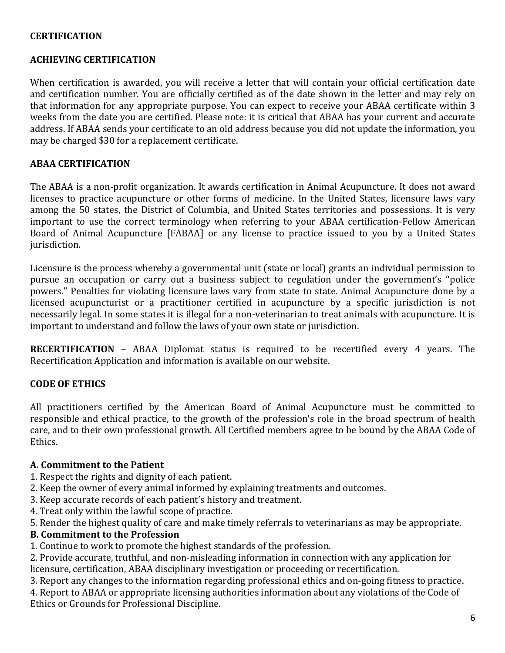## **CERTIFICATION**

#### **ACHIEVING CERTIFICATION**

When certification is awarded, you will receive a letter that will contain your official certification date and certification number. You are officially certified as of the date shown in the letter and may rely on that information for any appropriate purpose. You can expect to receive your ABAA certificate within 3 weeks from the date you are certified. Please note: it is critical that ABAA has your current and accurate address. If ABAA sends your certificate to an old address because you did not update the information, you may be charged \$30 for a replacement certificate.

#### **ABAA CERTIFICATION**

The ABAA is a non-profit organization. It awards certification in Animal Acupuncture. It does not award licenses to practice acupuncture or other forms of medicine. In the United States, licensure laws vary among the 50 states, the District of Columbia, and United States territories and possessions. It is very important to use the correct terminology when referring to your ABAA certification-Fellow American Board of Animal Acupuncture [FABAA] or any license to practice issued to you by a United States jurisdiction. 

Licensure is the process whereby a governmental unit (state or local) grants an individual permission to pursue an occupation or carry out a business subject to regulation under the government's "police powers." Penalties for violating licensure laws vary from state to state. Animal Acupuncture done by a licensed acupuncturist or a practitioner certified in acupuncture by a specific jurisdiction is not necessarily legal. In some states it is illegal for a non-veterinarian to treat animals with acupuncture. It is important to understand and follow the laws of your own state or jurisdiction.

**RECERTIFICATION** - ABAA Diplomat status is required to be recertified every 4 years. The Recertification Application and information is available on our website.

#### **CODE OF ETHICS**

All practitioners certified by the American Board of Animal Acupuncture must be committed to responsible and ethical practice, to the growth of the profession's role in the broad spectrum of health care, and to their own professional growth. All Certified members agree to be bound by the ABAA Code of Ethics. 

#### **A.** Commitment to the Patient

- 1. Respect the rights and dignity of each patient.
- 2. Keep the owner of every animal informed by explaining treatments and outcomes.
- 3. Keep accurate records of each patient's history and treatment.
- 4. Treat only within the lawful scope of practice.
- 5. Render the highest quality of care and make timely referrals to veterinarians as may be appropriate.

#### **B. Commitment to the Profession**

1. Continue to work to promote the highest standards of the profession.

2. Provide accurate, truthful, and non-misleading information in connection with any application for licensure, certification, ABAA disciplinary investigation or proceeding or recertification.

3. Report any changes to the information regarding professional ethics and on-going fitness to practice. 4. Report to ABAA or appropriate licensing authorities information about any violations of the Code of Ethics or Grounds for Professional Discipline.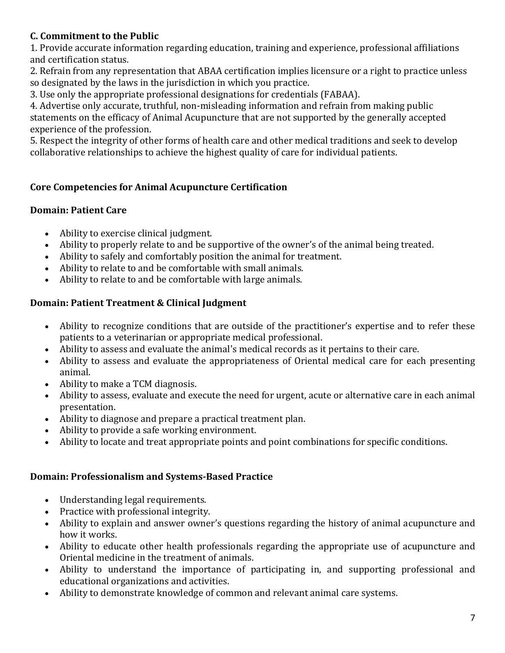# **C.** Commitment to the Public

1. Provide accurate information regarding education, training and experience, professional affiliations and certification status.

2. Refrain from any representation that ABAA certification implies licensure or a right to practice unless so designated by the laws in the jurisdiction in which you practice.

3. Use only the appropriate professional designations for credentials (FABAA).

4. Advertise only accurate, truthful, non-misleading information and refrain from making public statements on the efficacy of Animal Acupuncture that are not supported by the generally accepted experience of the profession.

5. Respect the integrity of other forms of health care and other medical traditions and seek to develop collaborative relationships to achieve the highest quality of care for individual patients.

# **Core Competencies for Animal Acupuncture Certification**

## **Domain: Patient Care**

- Ability to exercise clinical judgment.
- Ability to properly relate to and be supportive of the owner's of the animal being treated.
- Ability to safely and comfortably position the animal for treatment.
- Ability to relate to and be comfortable with small animals.
- Ability to relate to and be comfortable with large animals.

## **Domain: Patient Treatment & Clinical Judgment**

- Ability to recognize conditions that are outside of the practitioner's expertise and to refer these patients to a veterinarian or appropriate medical professional.
- Ability to assess and evaluate the animal's medical records as it pertains to their care.
- Ability to assess and evaluate the appropriateness of Oriental medical care for each presenting animal.
- Ability to make a TCM diagnosis.
- Ability to assess, evaluate and execute the need for urgent, acute or alternative care in each animal presentation.
- Ability to diagnose and prepare a practical treatment plan.
- Ability to provide a safe working environment.
- Ability to locate and treat appropriate points and point combinations for specific conditions.

## **Domain: Professionalism and Systems-Based Practice**

- Understanding legal requirements.
- Practice with professional integrity.
- Ability to explain and answer owner's questions regarding the history of animal acupuncture and how it works.
- Ability to educate other health professionals regarding the appropriate use of acupuncture and Oriental medicine in the treatment of animals.
- Ability to understand the importance of participating in, and supporting professional and educational organizations and activities.
- Ability to demonstrate knowledge of common and relevant animal care systems.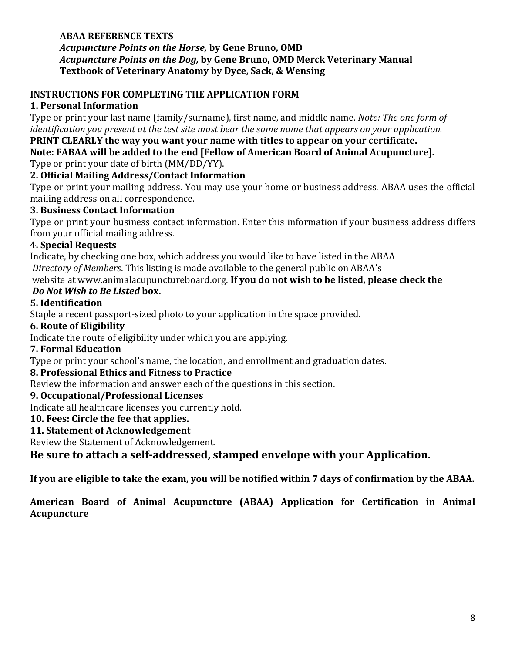#### **ABAA REFERENCE TEXTS** Acupuncture Points on the Horse, by Gene Bruno, OMD *Acupuncture Points on the Dog,* **by Gene Bruno, OMD Merck Veterinary Manual Textbook of Veterinary Anatomy by Dyce, Sack, & Wensing**

## **INSTRUCTIONS FOR COMPLETING THE APPLICATION FORM**

## **1. Personal Information**

Type or print your last name (family/surname), first name, and middle name. *Note: The one form of identification you present at the test site must bear the same name that appears on your application.* 

#### **PRINT CLEARLY the way you want your name with titles to appear on your certificate.** Note: FABAA will be added to the end [Fellow of American Board of Animal Acupuncture].

Type or print your date of birth (MM/DD/YY).

## **2. Official Mailing Address/Contact Information**

Type or print your mailing address. You may use your home or business address. ABAA uses the official mailing address on all correspondence.

## **3. Business Contact Information**

Type or print your business contact information. Enter this information if your business address differs from your official mailing address.

## **4. Special Requests**

Indicate, by checking one box, which address you would like to have listed in the ABAA *Directory of Members*. This listing is made available to the general public on ABAA's

website at www.animalacupunctureboard.org. If you do not wish to be listed, please check the

# *Do Not Wish to Be Listed box.*

## **5. Identification**

Staple a recent passport-sized photo to your application in the space provided.

## **6.** Route of Eligibility

Indicate the route of eligibility under which you are applying.

## **7. Formal Education**

Type or print your school's name, the location, and enrollment and graduation dates.

# **8. Professional Ethics and Fitness to Practice**

Review the information and answer each of the questions in this section.

## **9. Occupational/Professional Licenses**

Indicate all healthcare licenses you currently hold.

# **10. Fees: Circle the fee that applies.**

## **11. Statement of Acknowledgement**

Review the Statement of Acknowledgement.

Be sure to attach a self-addressed, stamped envelope with your Application.

If you are eligible to take the exam, you will be notified within 7 days of confirmation by the ABAA.

## American Board of Animal Acupuncture (ABAA) Application for Certification in Animal **Acupuncture**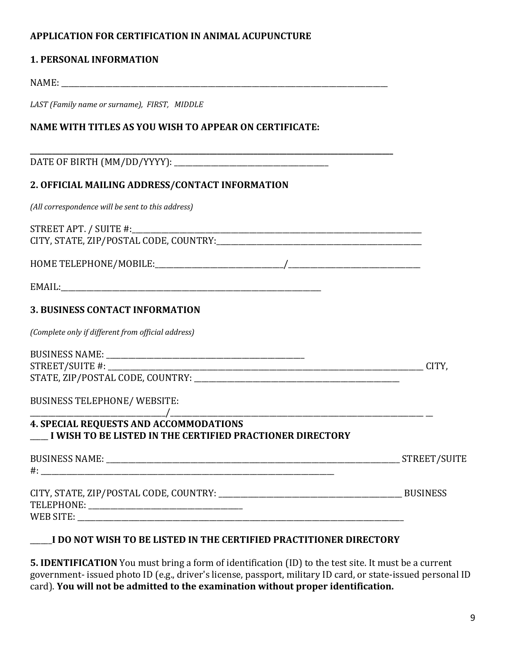### **APPLICATION FOR CERTIFICATION IN ANIMAL ACUPUNCTURE**

#### **1. PERSONAL INFORMATION**

NAME:

LAST (Family name or surname), FIRST, MIDDLE

## **NAME WITH TITLES AS YOU WISH TO APPEAR ON CERTIFICATE:**

DATE OF BIRTH (MM/DD/YYYY): \_\_\_\_\_\_\_\_\_\_\_\_\_\_\_\_\_\_\_\_\_\_\_\_\_\_\_\_\_\_\_\_\_\_\_\_\_\_\_\_\_\_ 

### **2. OFFICIAL MAILING ADDRESS/CONTACT INFORMATION**

*(All correspondence will be sent to this address)* 

STREET APT. / SUITE #:\_\_\_\_\_\_\_\_\_\_\_\_\_\_\_\_\_\_\_\_\_\_\_\_\_\_\_\_\_\_\_\_\_\_\_\_\_\_\_\_\_\_\_\_\_\_\_\_\_\_\_\_\_\_\_\_\_\_\_\_\_\_\_\_\_\_\_\_\_\_\_\_\_\_\_\_\_\_\_ CITY, STATE, ZIP/POSTAL CODE, COUNTRY:\_\_\_\_\_\_\_\_\_\_\_\_\_\_\_\_\_\_\_\_\_\_\_\_\_\_\_\_\_\_\_\_\_\_\_\_\_\_\_\_\_\_\_\_\_\_\_\_\_\_\_\_\_\_\_\_ 

HOME TELEPHONE/MOBILE: THE CONDUCT ONLY A MODEL TO A MONE THE CONDUCT OF A MODEL OF A MODEL OF A MODEL OF A MODEL OF A MODEL OF A MODEL OF A MODEL OF A MODEL OF A MODEL OF A MODEL OF A MODEL OF A MODEL OF A MODEL OF A MODE

**\_\_\_\_\_\_\_\_\_\_\_\_\_\_\_\_\_\_\_\_\_\_\_\_\_\_\_\_\_\_\_\_\_\_\_\_\_\_\_\_\_\_\_\_\_\_\_\_\_\_\_\_\_\_\_\_\_\_\_\_\_\_\_\_\_\_\_\_\_\_\_\_\_\_\_\_\_\_\_\_\_\_\_\_\_\_\_\_\_\_\_\_\_\_\_\_\_\_\_**

EMAIL:

#### **3. BUSINESS CONTACT INFORMATION**

*(Complete only if different from official address)* 

| <b>BUSINESS NAME:</b>            |  |
|----------------------------------|--|
| STREET/SUITE #:                  |  |
| STATE, ZIP/POSTAL CODE, COUNTRY: |  |

| BUSINESS TELEPHONE/WEBSITE: |  |
|-----------------------------|--|
|                             |  |

#### **4. SPECIAL REQUESTS AND ACCOMMODATIONS I** WISH TO BE LISTED IN THE CERTIFIED PRACTIONER DIRECTORY

 $\overline{\phantom{a}}$ 

 $\#$ :

BUSINESS NAME: THE STREET/SUITE

CITY, STATE, ZIP/POSTAL CODE, COUNTRY: When the contract of the contract of the contract of the contract of the contract of the contract of the contract of the contract of the contract of the contract of the contract of th TELEPHONE: \_\_\_\_\_\_\_\_\_\_\_\_\_\_\_\_\_\_\_\_\_\_\_\_\_\_\_\_\_\_\_\_\_\_\_\_\_\_\_\_\_\_ WEB SITE: \_\_\_\_\_\_\_\_\_\_\_\_\_\_\_\_\_\_\_\_\_\_\_\_\_\_\_\_\_\_\_\_\_\_\_\_\_\_\_\_\_\_\_\_\_\_\_\_\_\_\_\_\_\_\_\_\_\_\_\_\_\_\_\_\_\_\_\_\_\_\_\_\_\_\_\_\_\_\_\_\_\_\_\_\_\_\_\_\_ 

## **I** DO NOT WISH TO BE LISTED IN THE CERTIFIED PRACTITIONER DIRECTORY

**5. IDENTIFICATION** You must bring a form of identification (ID) to the test site. It must be a current government- issued photo ID (e.g., driver's license, passport, military ID card, or state-issued personal ID card). **You will not be admitted to the examination without proper identification.**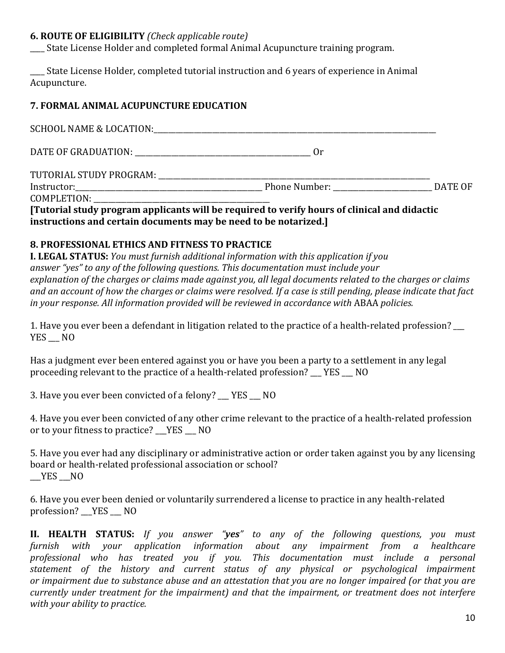#### **6. ROUTE OF ELIGIBILITY** (Check applicable route)

State License Holder and completed formal Animal Acupuncture training program.

State License Holder, completed tutorial instruction and 6 years of experience in Animal Acupuncture. 

## **7. FORMAL ANIMAL ACUPUNCTURE EDUCATION**

| 0r                    |  |
|-----------------------|--|
|                       |  |
| Phone Number: DATE OF |  |
|                       |  |

**[Tutorial study program applicants will be required to verify hours of clinical and didactic instructions and certain documents may be need to be notarized.]** 

## **8. PROFESSIONAL ETHICS AND FITNESS TO PRACTICE**

**I.** LEGAL STATUS: You must furnish additional information with this application if you answer "yes" to any of the following questions. This documentation must include your explanation of the charges or claims made against you, all legal documents related to the charges or claims and an account of how the charges or claims were resolved. If a case is still pending, please indicate that fact *in your response. All information provided will be reviewed in accordance with ABAA policies.* 

1. Have you ever been a defendant in litigation related to the practice of a health-related profession?  $\qquad \qquad$ YES NO

Has a judgment ever been entered against you or have you been a party to a settlement in any legal proceeding relevant to the practice of a health-related profession? YES NO

3. Have you ever been convicted of a felony? YES NO

4. Have you ever been convicted of any other crime relevant to the practice of a health-related profession or to your fitness to practice? YES NO

5. Have you ever had any disciplinary or administrative action or order taken against you by any licensing board or health-related professional association or school?  $YES$   $NO$ 

6. Have you ever been denied or voluntarily surrendered a license to practice in any health-related profession? \_\_YES \_\_ NO

**II. HEALTH STATUS:** If you answer "**yes**" to any of the following questions, you must *furnish with your application information about any impairment from a healthcare professional who has treated you if you. This documentation must include a personal statement of the history and current status of any physical or psychological impairment* or impairment due to substance abuse and an attestation that you are no longer impaired (or that you are *currently under treatment for the impairment)* and that the *impairment, or treatment does not interfere with* your ability to practice.